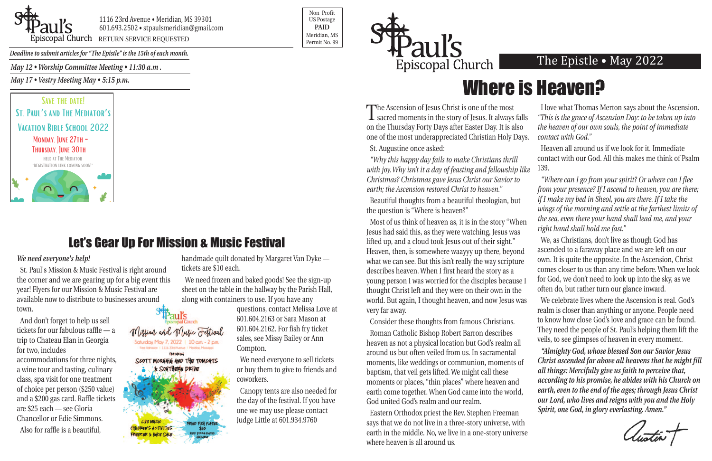

1116 23rd Avenue • Meridian, MS 39301 601.693.2502 • stpaulsmeridian@gmail.com Peris Copal Church RETURN SERVICE REQUESTED

Non Profit US Postage **PAID** Meridian, MS



*Deadline to submit articles for "The Epistle" is the 15th of each month.* 

#### The Epistle • May 2022

## Let's Gear Up For Mission & Music Festival

Mission and Music Festival Saturday, May 7, 2022 | 10 am - 2 pm lee Admirer / 1114 23d Avenue / Neidlan Musicco **FEATURING** SCOTT MCQUAIG AND THE TOMCATS

 $$10$ 

**ILDREN'S ACTIVITIES** 

*May 12 • Worship Committee Meeting • 11:30 a.m .*

*May 17 • Vestry Meeting May • 5:15 p.m.*

#### *We need everyone's help!*

St. Paul's Mission & Music Festival is right around the corner and we are gearing up for a big event this year! Flyers for our Mission & Music Festival are available now to distribute to businesses around town.

And don't forget to help us sell tickets for our fabulous raffle — a trip to Chateau Elan in Georgia for two, includes accommodations for three nights, a wine tour and tasting, culinary class, spa visit for one treatment of choice per person (\$250 value) and a \$200 gas card. Raffle tickets are \$25 each — see Gloria Chancellor or Edie Simmons. Also for raffle is a beautiful,

handmade quilt donated by Margaret Van Dyke tickets are \$10 each.

We need frozen and baked goods! See the sign-up sheet on the table in the hallway by the Parish Hall, along with containers to use. If you have any

questions, contact Melissa Love at 601.604.2163 or Sara Mason at 601.604.2162. For fish fry ticket sales, see Missy Bailey or Ann Compton.

We need everyone to sell tickets or buy them to give to friends and coworkers.

Canopy tents are also needed for the day of the festival. If you have one we may use please contact Judge Little at 601.934.9760

St. Augustine once asked:

*"Why this happy day fails to make Christians thrill with joy. Why isn't it a day of feasting and fellowship like Christmas? Christmas gave Jesus Christ our Savior to earth; the Ascension restored Christ to heaven."*

Beautiful thoughts from a beautiful theologian, but the question is "Where is heaven?"

The Ascension of Jesus Christ is one of the most sacred moments in the story of Jesus. It always falls on the Thursday Forty Days after Easter Day. It is also one of the most underappreciated Christian Holy Days. I love what Thomas Merton says about the Ascension. *"This is the grace of Ascension Day: to be taken up into the heaven of our own souls, the point of immediate contact with God."*

Consider these thoughts from famous Christians.

Eastern Orthodox priest the Rev. Stephen Freeman says that we do not live in a three-story universe, with earth in the middle. No, we live in a one-story universe where heaven is all around us.

Most of us think of heaven as, it is in the story "When Jesus had said this, as they were watching, Jesus was lifted up, and a cloud took Jesus out of their sight." Heaven, then, is somewhere waayyy up there, beyond what we can see. But this isn't really the way scripture describes heaven. When I first heard the story as a young person I was worried for the disciples because I thought Christ left and they were on their own in the world. But again, I thought heaven, and now Jesus was very far away. *right hand shall hold me fast."* We, as Christians, don't live as though God has ascended to a faraway place and we are left on our own. It is quite the opposite. In the Ascension, Christ comes closer to us than any time before. When we look for God, we don't need to look up into the sky, as we often do, but rather turn our glance inward. We celebrate lives where the Ascension is real. God's realm is closer than anything or anyone. People need

Heaven all around us if we look for it. Immediate contact with our God. All this makes me think of Psalm 139.

*"Where can I go from your spirit? Or where can I flee from your presence? If I ascend to heaven, you are there; if I make my bed in Sheol, you are there. If I take the wings of the morning and settle at the farthest limits of the sea, even there your hand shall lead me, and your*

Roman Catholic Bishop Robert Barron describes heaven as not a physical location but God's realm all around us but often veiled from us. In sacramental moments, like weddings or communion, moments of baptism, that veil gets lifted. We might call these moments or places, "thin places" where heaven and earth come together. When God came into the world, God united God's realm and our realm. veils, to see glimpses of heaven in every moment. *"Almighty God, whose blessed Son our Savior Jesus Christ ascended far above all heavens that he might fill all things: Mercifully give us faith to perceive that, according to his promise, he abides with his Church on earth, even to the end of the ages; through Jesus Christ our Lord, who lives and reigns with you and the Holy Spirit, one God, in glory everlasting. Amen."*

to know how close God's love and grace can be found. They need the people of St. Paul's helping them lift the



# Where is Heaven?